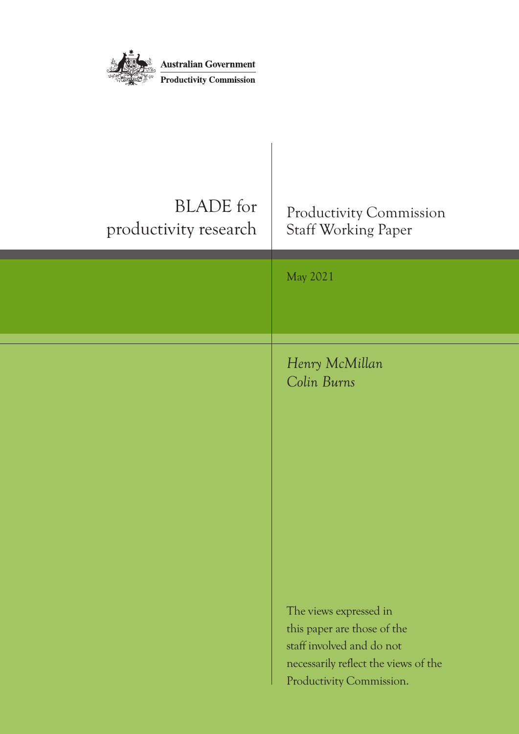

| <b>BLADE</b> for<br>productivity research | Productivity Commission<br><b>Staff Working Paper</b>                                                                                                  |
|-------------------------------------------|--------------------------------------------------------------------------------------------------------------------------------------------------------|
|                                           | May 2021                                                                                                                                               |
|                                           | Henry McMillan<br>Colin Burns                                                                                                                          |
|                                           | The views expressed in<br>this paper are those of the<br>staff involved and do not<br>necessarily reflect the views of the<br>Productivity Commission. |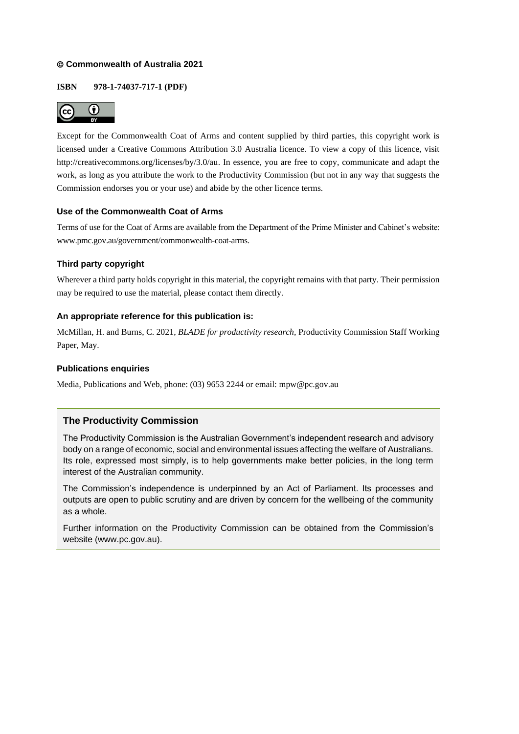### © **Commonwealth of Australia 2021**

### **ISBN 978-1-74037-717-1 (PDF)**



Except for the Commonwealth Coat of Arms and content supplied by third parties, this copyright work is licensed under a Creative Commons Attribution 3.0 Australia licence. To view a copy of this licence, visit [http://creativecommons.org/licenses/by/3.0/au.](http://creativecommons.org/licenses/by/3.0/au) In essence, you are free to copy, communicate and adapt the work, as long as you attribute the work to the Productivity Commission (but not in any way that suggests the Commission endorses you or your use) and abide by the other licence terms.

### **Use of the Commonwealth Coat of Arms**

Terms of use for the Coat of Arms are available from the Department of the Prime Minister and Cabinet's website: [www.pmc.gov.au/government/commonwealth-coat-arms.](https://www.pmc.gov.au/government/commonwealth-coat-arms)

### **Third party copyright**

Wherever a third party holds copyright in this material, the copyright remains with that party. Their permission may be required to use the material, please contact them directly.

### **An appropriate reference for this publication is:**

McMillan, H. and Burns, C. 2021, *BLADE for productivity research,* Productivity Commission Staff Working Paper, May.

### **Publications enquiries**

Media, Publications and Web, phone: (03) 9653 2244 or email: mpw@pc.gov.au

### **The Productivity Commission**

The Productivity Commission is the Australian Government's independent research and advisory body on a range of economic, social and environmental issues affecting the welfare of Australians. Its role, expressed most simply, is to help governments make better policies, in the long term interest of the Australian community.

The Commission's independence is underpinned by an Act of Parliament. Its processes and outputs are open to public scrutiny and are driven by concern for the wellbeing of the community as a whole.

Further information on the Productivity Commission can be obtained from the Commission's website [\(www.pc.gov.au\)](http://www.pc.gov.au/).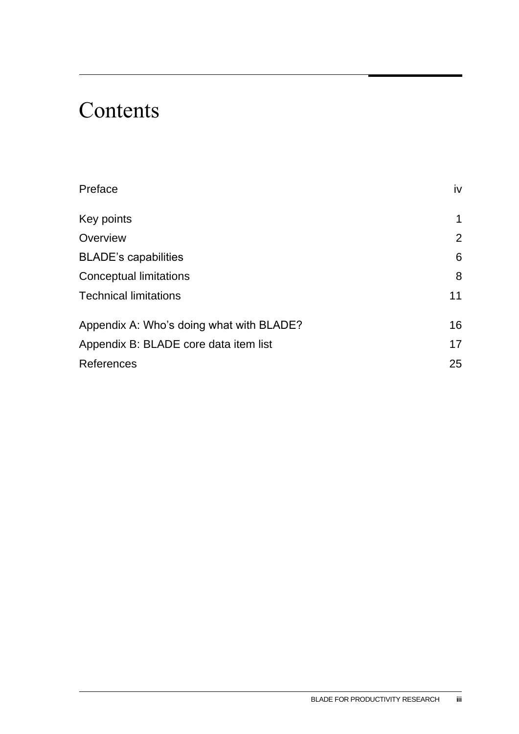# Contents

| Preface                                  | iv             |
|------------------------------------------|----------------|
| Key points                               | $\mathbf 1$    |
| Overview                                 | $\overline{2}$ |
| <b>BLADE's capabilities</b>              | 6              |
| Conceptual limitations                   | 8              |
| <b>Technical limitations</b>             | 11             |
| Appendix A: Who's doing what with BLADE? | 16             |
| Appendix B: BLADE core data item list    | 17             |
| <b>References</b>                        | 25             |
|                                          |                |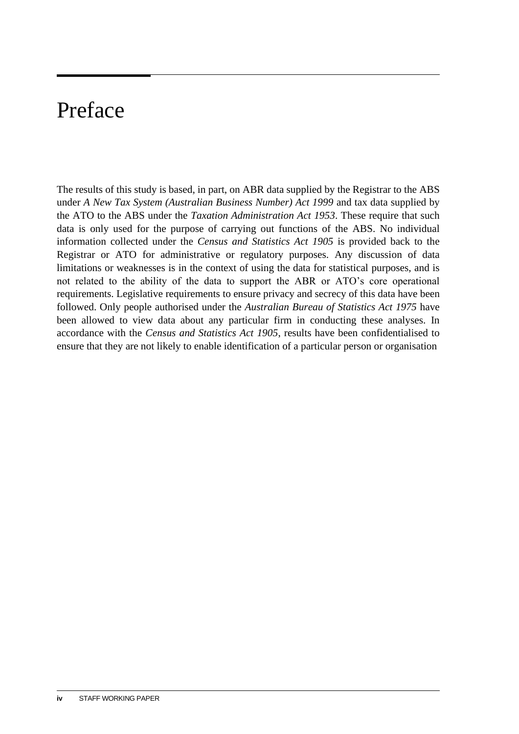# <span id="page-3-0"></span>Preface

The results of this study is based, in part, on ABR data supplied by the Registrar to the ABS under *A New Tax System (Australian Business Number) Act 1999* and tax data supplied by the ATO to the ABS under the *Taxation Administration Act 1953*. These require that such data is only used for the purpose of carrying out functions of the ABS. No individual information collected under the *Census and Statistics Act 1905* is provided back to the Registrar or ATO for administrative or regulatory purposes. Any discussion of data limitations or weaknesses is in the context of using the data for statistical purposes, and is not related to the ability of the data to support the ABR or ATO's core operational requirements. Legislative requirements to ensure privacy and secrecy of this data have been followed. Only people authorised under the *Australian Bureau of Statistics Act 1975* have been allowed to view data about any particular firm in conducting these analyses. In accordance with the *Census and Statistics Act 1905*, results have been confidentialised to ensure that they are not likely to enable identification of a particular person or organisation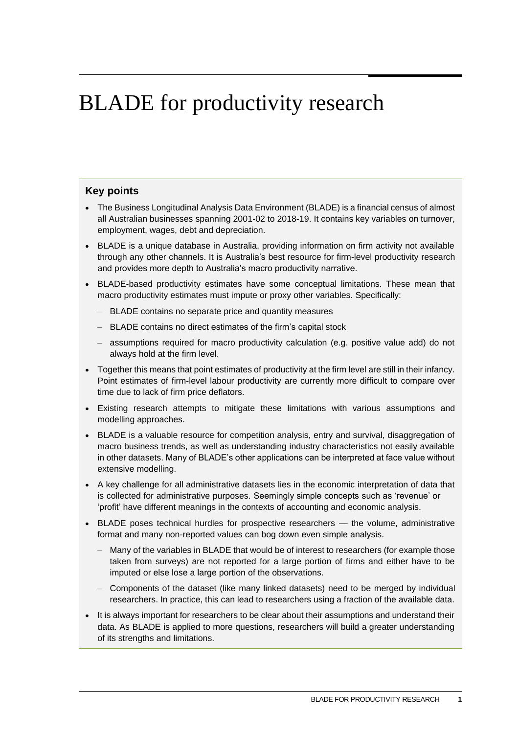# <span id="page-4-0"></span>BLADE for productivity research

### **Key points**

- The Business Longitudinal Analysis Data Environment (BLADE) is a financial census of almost all Australian businesses spanning 2001-02 to 2018-19. It contains key variables on turnover, employment, wages, debt and depreciation.
- BLADE is a unique database in Australia, providing information on firm activity not available through any other channels. It is Australia's best resource for firm-level productivity research and provides more depth to Australia's macro productivity narrative.
- BLADE-based productivity estimates have some conceptual limitations. These mean that macro productivity estimates must impute or proxy other variables. Specifically:
	- BLADE contains no separate price and quantity measures
	- BLADE contains no direct estimates of the firm's capital stock
	- assumptions required for macro productivity calculation (e.g. positive value add) do not always hold at the firm level.
- Together this means that point estimates of productivity at the firm level are still in their infancy. Point estimates of firm-level labour productivity are currently more difficult to compare over time due to lack of firm price deflators.
- Existing research attempts to mitigate these limitations with various assumptions and modelling approaches.
- BLADE is a valuable resource for competition analysis, entry and survival, disaggregation of macro business trends, as well as understanding industry characteristics not easily available in other datasets. Many of BLADE's other applications can be interpreted at face value without extensive modelling.
- A key challenge for all administrative datasets lies in the economic interpretation of data that is collected for administrative purposes. Seemingly simple concepts such as 'revenue' or 'profit' have different meanings in the contexts of accounting and economic analysis.
- BLADE poses technical hurdles for prospective researchers the volume, administrative format and many non-reported values can bog down even simple analysis.
	- Many of the variables in BLADE that would be of interest to researchers (for example those taken from surveys) are not reported for a large portion of firms and either have to be imputed or else lose a large portion of the observations.
	- Components of the dataset (like many linked datasets) need to be merged by individual researchers. In practice, this can lead to researchers using a fraction of the available data.
- It is always important for researchers to be clear about their assumptions and understand their data. As BLADE is applied to more questions, researchers will build a greater understanding of its strengths and limitations.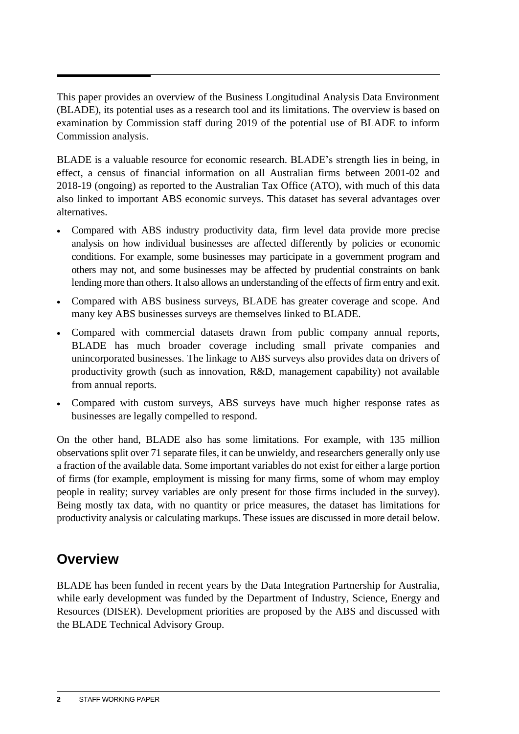<span id="page-5-0"></span>This paper provides an overview of the Business Longitudinal Analysis Data Environment (BLADE), its potential uses as a research tool and its limitations. The overview is based on examination by Commission staff during 2019 of the potential use of BLADE to inform Commission analysis.

BLADE is a valuable resource for economic research. BLADE's strength lies in being, in effect, a census of financial information on all Australian firms between 2001-02 and 2018-19 (ongoing) as reported to the Australian Tax Office (ATO), with much of this data also linked to important ABS economic surveys. This dataset has several advantages over alternatives.

- Compared with ABS industry productivity data, firm level data provide more precise analysis on how individual businesses are affected differently by policies or economic conditions. For example, some businesses may participate in a government program and others may not, and some businesses may be affected by prudential constraints on bank lending more than others. It also allows an understanding of the effects of firm entry and exit.
- Compared with ABS business surveys, BLADE has greater coverage and scope. And many key ABS businesses surveys are themselves linked to BLADE.
- Compared with commercial datasets drawn from public company annual reports, BLADE has much broader coverage including small private companies and unincorporated businesses. The linkage to ABS surveys also provides data on drivers of productivity growth (such as innovation, R&D, management capability) not available from annual reports.
- Compared with custom surveys, ABS surveys have much higher response rates as businesses are legally compelled to respond.

On the other hand, BLADE also has some limitations. For example, with 135 million observations split over 71 separate files, it can be unwieldy, and researchers generally only use a fraction of the available data. Some important variables do not exist for either a large portion of firms (for example, employment is missing for many firms, some of whom may employ people in reality; survey variables are only present for those firms included in the survey). Being mostly tax data, with no quantity or price measures, the dataset has limitations for productivity analysis or calculating markups. These issues are discussed in more detail below.

### **Overview**

BLADE has been funded in recent years by the Data Integration Partnership for Australia, while early development was funded by the Department of Industry, Science, Energy and Resources (DISER). Development priorities are proposed by the ABS and discussed with the BLADE Technical Advisory Group.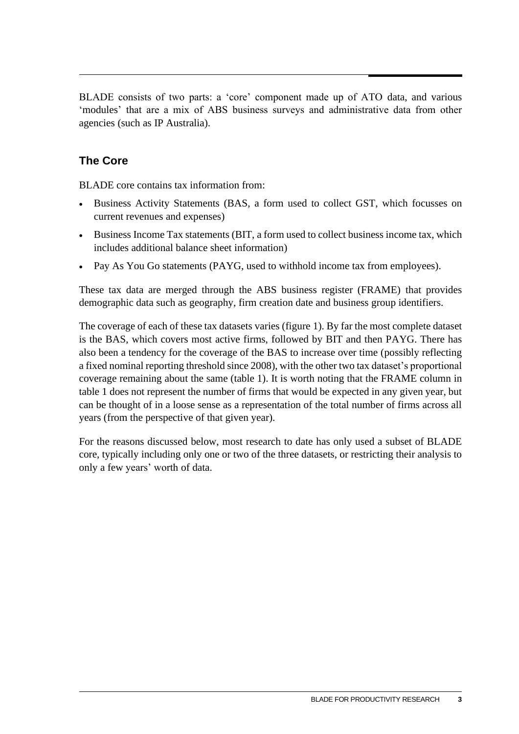BLADE consists of two parts: a 'core' component made up of ATO data, and various 'modules' that are a mix of ABS business surveys and administrative data from other agencies (such as IP Australia).

### **The Core**

BLADE core contains tax information from:

- Business Activity Statements (BAS, a form used to collect GST, which focusses on current revenues and expenses)
- Business Income Tax statements (BIT, a form used to collect business income tax, which includes additional balance sheet information)
- Pay As You Go statements (PAYG, used to withhold income tax from employees).

These tax data are merged through the ABS business register (FRAME) that provides demographic data such as geography, firm creation date and business group identifiers.

The coverage of each of these tax datasets varies (figure 1). By far the most complete dataset is the BAS, which covers most active firms, followed by BIT and then PAYG. There has also been a tendency for the coverage of the BAS to increase over time (possibly reflecting a fixed nominal reporting threshold since 2008), with the other two tax dataset's proportional coverage remaining about the same (table 1). It is worth noting that the FRAME column in table 1 does not represent the number of firms that would be expected in any given year, but can be thought of in a loose sense as a representation of the total number of firms across all years (from the perspective of that given year).

For the reasons discussed below, most research to date has only used a subset of BLADE core, typically including only one or two of the three datasets, or restricting their analysis to only a few years' worth of data.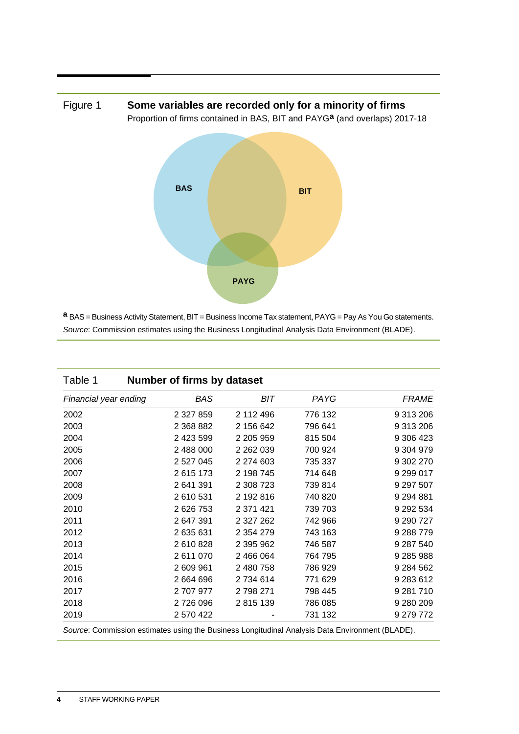



**a** BAS = Business Activity Statement, BIT = Business Income Tax statement, PAYG = Pay As You Go statements. *Source*: Commission estimates using the Business Longitudinal Analysis Data Environment (BLADE).

| Table 1               | Number of firms by dataset                                                                      |               |         |               |
|-----------------------|-------------------------------------------------------------------------------------------------|---------------|---------|---------------|
| Financial year ending | BAS                                                                                             | BIT           | PAYG    | <b>FRAME</b>  |
| 2002                  | 2 3 2 7 8 5 9                                                                                   | 2 112 496     | 776 132 | 9 313 206     |
| 2003                  | 2 368 882                                                                                       | 2 156 642     | 796 641 | 9 313 206     |
| 2004                  | 2 423 599                                                                                       | 2 205 959     | 815 504 | 9 306 423     |
| 2005                  | 2 488 000                                                                                       | 2 2 6 2 0 3 9 | 700 924 | 9 304 979     |
| 2006                  | 2 527 045                                                                                       | 2 274 603     | 735 337 | 9 302 270     |
| 2007                  | 2615173                                                                                         | 2 198 745     | 714 648 | 9 299 017     |
| 2008                  | 2 641 391                                                                                       | 2 308 723     | 739 814 | 9 297 507     |
| 2009                  | 2 610 531                                                                                       | 2 192 816     | 740 820 | 9 2 9 4 8 8 1 |
| 2010                  | 2 626 753                                                                                       | 2 371 421     | 739 703 | 9 29 2 5 3 4  |
| 2011                  | 2 647 391                                                                                       | 2 327 262     | 742 966 | 9 290 727     |
| 2012                  | 2635631                                                                                         | 2 3 5 4 2 7 9 | 743 163 | 9 288 779     |
| 2013                  | 2610828                                                                                         | 2 395 962     | 746 587 | 9 287 540     |
| 2014                  | 2611070                                                                                         | 2 466 064     | 764 795 | 9 285 988     |
| 2015                  | 2 609 961                                                                                       | 2 480 758     | 786 929 | 9 284 562     |
| 2016                  | 2 664 696                                                                                       | 2734614       | 771 629 | 9 283 612     |
| 2017                  | 2 707 977                                                                                       | 2 798 271     | 798 445 | 9 281 710     |
| 2018                  | 2726096                                                                                         | 2815139       | 786 085 | 9 280 209     |
| 2019                  | 2 570 422                                                                                       |               | 731 132 | 9 279 772     |
|                       | Source: Commission estimates using the Business Longitudinal Analysis Data Environment (BLADE). |               |         |               |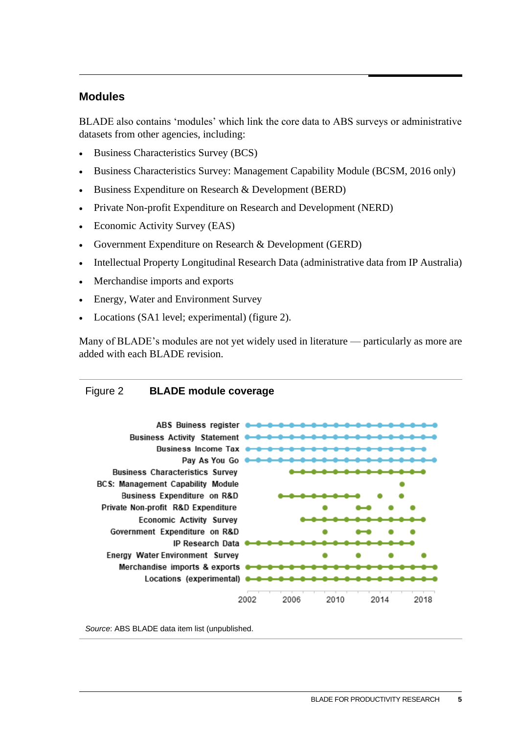### **Modules**

BLADE also contains 'modules' which link the core data to ABS surveys or administrative datasets from other agencies, including:

- Business Characteristics Survey (BCS)
- Business Characteristics Survey: Management Capability Module (BCSM, 2016 only)
- Business Expenditure on Research & Development (BERD)
- Private Non-profit Expenditure on Research and Development (NERD)
- Economic Activity Survey (EAS)
- Government Expenditure on Research & Development (GERD)
- Intellectual Property Longitudinal Research Data (administrative data from IP Australia)
- Merchandise imports and exports
- Energy, Water and Environment Survey
- Locations (SA1 level; experimental) (figure 2).

Many of BLADE's modules are not yet widely used in literature — particularly as more are added with each BLADE revision.

### Figure 2 **BLADE module coverage**



*Source*: ABS BLADE data item list (unpublished.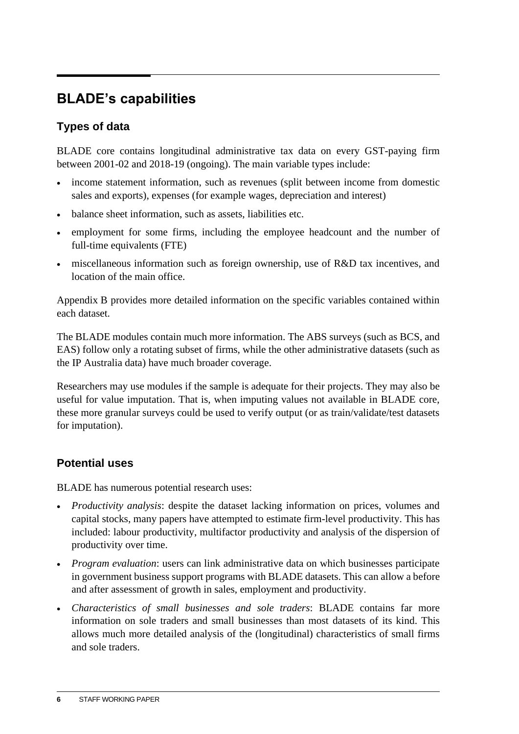## <span id="page-9-0"></span>**BLADE's capabilities**

### **Types of data**

BLADE core contains longitudinal administrative tax data on every GST-paying firm between 2001-02 and 2018-19 (ongoing). The main variable types include:

- income statement information, such as revenues (split between income from domestic sales and exports), expenses (for example wages, depreciation and interest)
- balance sheet information, such as assets, liabilities etc.
- employment for some firms, including the employee headcount and the number of full-time equivalents (FTE)
- miscellaneous information such as foreign ownership, use of R&D tax incentives, and location of the main office.

Appendix B provides more detailed information on the specific variables contained within each dataset.

The BLADE modules contain much more information. The ABS surveys (such as BCS, and EAS) follow only a rotating subset of firms, while the other administrative datasets (such as the IP Australia data) have much broader coverage.

Researchers may use modules if the sample is adequate for their projects. They may also be useful for value imputation. That is, when imputing values not available in BLADE core, these more granular surveys could be used to verify output (or as train/validate/test datasets for imputation).

### **Potential uses**

BLADE has numerous potential research uses:

- *Productivity analysis*: despite the dataset lacking information on prices, volumes and capital stocks, many papers have attempted to estimate firm-level productivity. This has included: labour productivity, multifactor productivity and analysis of the dispersion of productivity over time.
- *Program evaluation*: users can link administrative data on which businesses participate in government business support programs with BLADE datasets. This can allow a before and after assessment of growth in sales, employment and productivity.
- *Characteristics of small businesses and sole traders*: BLADE contains far more information on sole traders and small businesses than most datasets of its kind. This allows much more detailed analysis of the (longitudinal) characteristics of small firms and sole traders.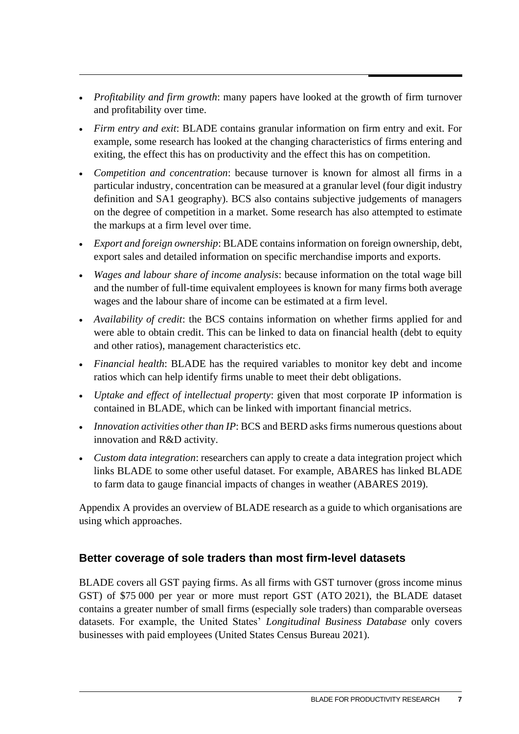- *Profitability and firm growth*: many papers have looked at the growth of firm turnover and profitability over time.
- *Firm entry and exit*: BLADE contains granular information on firm entry and exit. For example, some research has looked at the changing characteristics of firms entering and exiting, the effect this has on productivity and the effect this has on competition.
- *Competition and concentration*: because turnover is known for almost all firms in a particular industry, concentration can be measured at a granular level (four digit industry definition and SA1 geography). BCS also contains subjective judgements of managers on the degree of competition in a market. Some research has also attempted to estimate the markups at a firm level over time.
- *Export and foreign ownership*: BLADE contains information on foreign ownership, debt, export sales and detailed information on specific merchandise imports and exports.
- *Wages and labour share of income analysis*: because information on the total wage bill and the number of full-time equivalent employees is known for many firms both average wages and the labour share of income can be estimated at a firm level.
- *Availability of credit*: the BCS contains information on whether firms applied for and were able to obtain credit. This can be linked to data on financial health (debt to equity and other ratios), management characteristics etc.
- *Financial health*: BLADE has the required variables to monitor key debt and income ratios which can help identify firms unable to meet their debt obligations.
- *Uptake and effect of intellectual property*: given that most corporate IP information is contained in BLADE, which can be linked with important financial metrics.
- *Innovation activities other than IP*: BCS and BERD asks firms numerous questions about innovation and R&D activity.
- *Custom data integration*: researchers can apply to create a data integration project which links BLADE to some other useful dataset. For example, ABARES has linked BLADE to farm data to gauge financial impacts of changes in weather (ABARES 2019).

Appendix A provides an overview of BLADE research as a guide to which organisations are using which approaches.

### **Better coverage of sole traders than most firm-level datasets**

BLADE covers all GST paying firms. As all firms with GST turnover (gross income minus GST) of \$75 000 per year or more must report GST (ATO 2021), the BLADE dataset contains a greater number of small firms (especially sole traders) than comparable overseas datasets. For example, the United States' *Longitudinal Business Database* only covers businesses with paid employees (United States Census Bureau 2021).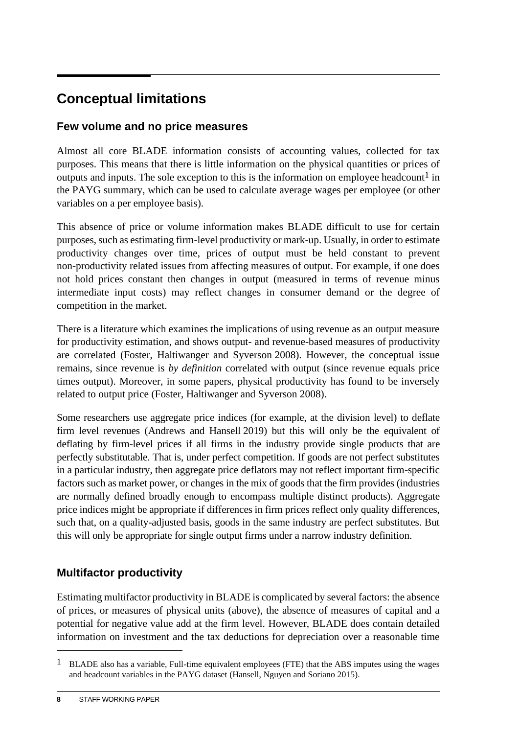## <span id="page-11-0"></span>**Conceptual limitations**

### **Few volume and no price measures**

Almost all core BLADE information consists of accounting values, collected for tax purposes. This means that there is little information on the physical quantities or prices of outputs and inputs. The sole exception to this is the information on employee headcount<sup>1</sup> in the PAYG summary, which can be used to calculate average wages per employee (or other variables on a per employee basis).

This absence of price or volume information makes BLADE difficult to use for certain purposes, such as estimating firm-level productivity or mark-up. Usually, in order to estimate productivity changes over time, prices of output must be held constant to prevent non-productivity related issues from affecting measures of output. For example, if one does not hold prices constant then changes in output (measured in terms of revenue minus intermediate input costs) may reflect changes in consumer demand or the degree of competition in the market.

There is a literature which examines the implications of using revenue as an output measure for productivity estimation, and shows output- and revenue-based measures of productivity are correlated (Foster, Haltiwanger and Syverson 2008). However, the conceptual issue remains, since revenue is *by definition* correlated with output (since revenue equals price times output). Moreover, in some papers, physical productivity has found to be inversely related to output price (Foster, Haltiwanger and Syverson 2008).

Some researchers use aggregate price indices (for example, at the division level) to deflate firm level revenues (Andrews and Hansell 2019) but this will only be the equivalent of deflating by firm-level prices if all firms in the industry provide single products that are perfectly substitutable. That is, under perfect competition. If goods are not perfect substitutes in a particular industry, then aggregate price deflators may not reflect important firm-specific factors such as market power, or changes in the mix of goods that the firm provides (industries are normally defined broadly enough to encompass multiple distinct products). Aggregate price indices might be appropriate if differences in firm prices reflect only quality differences, such that, on a quality-adjusted basis, goods in the same industry are perfect substitutes. But this will only be appropriate for single output firms under a narrow industry definition.

### **Multifactor productivity**

Estimating multifactor productivity in BLADE is complicated by several factors: the absence of prices, or measures of physical units (above), the absence of measures of capital and a potential for negative value add at the firm level. However, BLADE does contain detailed information on investment and the tax deductions for depreciation over a reasonable time

<sup>&</sup>lt;sup>1</sup> BLADE also has a variable, Full-time equivalent employees (FTE) that the ABS imputes using the wages and headcount variables in the PAYG dataset (Hansell, Nguyen and Soriano 2015).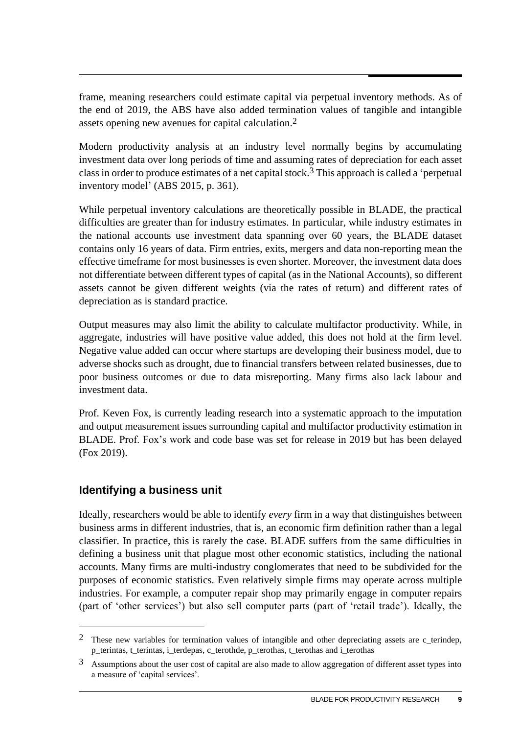frame, meaning researchers could estimate capital via perpetual inventory methods. As of the end of 2019, the ABS have also added termination values of tangible and intangible assets opening new avenues for capital calculation. 2

Modern productivity analysis at an industry level normally begins by accumulating investment data over long periods of time and assuming rates of depreciation for each asset class in order to produce estimates of a net capital stock.3 This approach is called a 'perpetual inventory model' (ABS 2015, p. 361).

While perpetual inventory calculations are theoretically possible in BLADE, the practical difficulties are greater than for industry estimates. In particular, while industry estimates in the national accounts use investment data spanning over 60 years, the BLADE dataset contains only 16 years of data. Firm entries, exits, mergers and data non-reporting mean the effective timeframe for most businesses is even shorter. Moreover, the investment data does not differentiate between different types of capital (as in the National Accounts), so different assets cannot be given different weights (via the rates of return) and different rates of depreciation as is standard practice.

Output measures may also limit the ability to calculate multifactor productivity. While, in aggregate, industries will have positive value added, this does not hold at the firm level. Negative value added can occur where startups are developing their business model, due to adverse shocks such as drought, due to financial transfers between related businesses, due to poor business outcomes or due to data misreporting. Many firms also lack labour and investment data.

Prof. Keven Fox, is currently leading research into a systematic approach to the imputation and output measurement issues surrounding capital and multifactor productivity estimation in BLADE. Prof. Fox's work and code base was set for release in 2019 but has been delayed (Fox 2019).

### **Identifying a business unit**

Ideally, researchers would be able to identify *every* firm in a way that distinguishes between business arms in different industries, that is, an economic firm definition rather than a legal classifier. In practice, this is rarely the case. BLADE suffers from the same difficulties in defining a business unit that plague most other economic statistics, including the national accounts. Many firms are multi-industry conglomerates that need to be subdivided for the purposes of economic statistics. Even relatively simple firms may operate across multiple industries. For example, a computer repair shop may primarily engage in computer repairs (part of 'other services') but also sell computer parts (part of 'retail trade'). Ideally, the

<sup>2</sup> These new variables for termination values of intangible and other depreciating assets are c\_terindep, p\_terintas, t\_terintas, i\_terdepas, c\_terothde, p\_terothas, t\_terothas and i\_terothas

<sup>3</sup> Assumptions about the user cost of capital are also made to allow aggregation of different asset types into a measure of 'capital services'.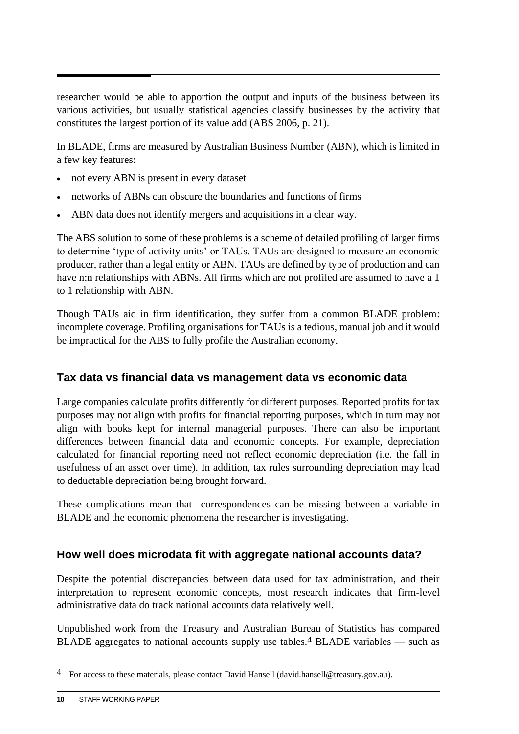researcher would be able to apportion the output and inputs of the business between its various activities, but usually statistical agencies classify businesses by the activity that constitutes the largest portion of its value add (ABS 2006, p. 21).

In BLADE, firms are measured by Australian Business Number (ABN), which is limited in a few key features:

- not every ABN is present in every dataset
- networks of ABNs can obscure the boundaries and functions of firms
- ABN data does not identify mergers and acquisitions in a clear way.

The ABS solution to some of these problems is a scheme of detailed profiling of larger firms to determine 'type of activity units' or TAUs. TAUs are designed to measure an economic producer, rather than a legal entity or ABN. TAUs are defined by type of production and can have n:n relationships with ABNs. All firms which are not profiled are assumed to have a 1 to 1 relationship with ABN.

Though TAUs aid in firm identification, they suffer from a common BLADE problem: incomplete coverage. Profiling organisations for TAUs is a tedious, manual job and it would be impractical for the ABS to fully profile the Australian economy.

### **Tax data vs financial data vs management data vs economic data**

Large companies calculate profits differently for different purposes. Reported profits for tax purposes may not align with profits for financial reporting purposes, which in turn may not align with books kept for internal managerial purposes. There can also be important differences between financial data and economic concepts. For example, depreciation calculated for financial reporting need not reflect economic depreciation (i.e. the fall in usefulness of an asset over time). In addition, tax rules surrounding depreciation may lead to deductable depreciation being brought forward.

These complications mean that correspondences can be missing between a variable in BLADE and the economic phenomena the researcher is investigating.

### **How well does microdata fit with aggregate national accounts data?**

Despite the potential discrepancies between data used for tax administration, and their interpretation to represent economic concepts, most research indicates that firm-level administrative data do track national accounts data relatively well.

Unpublished work from the Treasury and Australian Bureau of Statistics has compared BLADE aggregates to national accounts supply use tables.<sup>4</sup> BLADE variables — such as

<sup>4</sup> For access to these materials, please contact David Hansell (david.hansell@treasury.gov.au).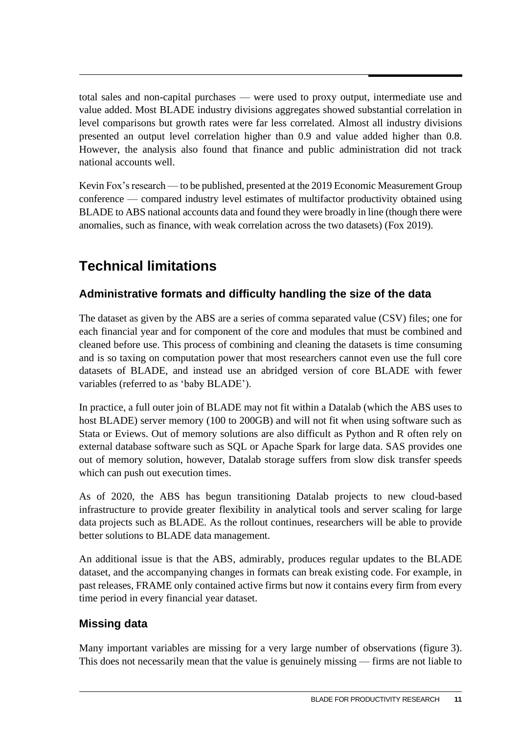<span id="page-14-0"></span>total sales and non-capital purchases — were used to proxy output, intermediate use and value added. Most BLADE industry divisions aggregates showed substantial correlation in level comparisons but growth rates were far less correlated. Almost all industry divisions presented an output level correlation higher than 0.9 and value added higher than 0.8. However, the analysis also found that finance and public administration did not track national accounts well.

Kevin Fox's research — to be published, presented at the 2019 Economic Measurement Group conference — compared industry level estimates of multifactor productivity obtained using BLADE to ABS national accounts data and found they were broadly in line (though there were anomalies, such as finance, with weak correlation across the two datasets) (Fox 2019).

## **Technical limitations**

### **Administrative formats and difficulty handling the size of the data**

The dataset as given by the ABS are a series of comma separated value (CSV) files; one for each financial year and for component of the core and modules that must be combined and cleaned before use. This process of combining and cleaning the datasets is time consuming and is so taxing on computation power that most researchers cannot even use the full core datasets of BLADE, and instead use an abridged version of core BLADE with fewer variables (referred to as 'baby BLADE').

In practice, a full outer join of BLADE may not fit within a Datalab (which the ABS uses to host BLADE) server memory (100 to 200GB) and will not fit when using software such as Stata or Eviews. Out of memory solutions are also difficult as Python and R often rely on external database software such as SQL or Apache Spark for large data. SAS provides one out of memory solution, however, Datalab storage suffers from slow disk transfer speeds which can push out execution times.

As of 2020, the ABS has begun transitioning Datalab projects to new cloud-based infrastructure to provide greater flexibility in analytical tools and server scaling for large data projects such as BLADE. As the rollout continues, researchers will be able to provide better solutions to BLADE data management.

An additional issue is that the ABS, admirably, produces regular updates to the BLADE dataset, and the accompanying changes in formats can break existing code. For example, in past releases, FRAME only contained active firms but now it contains every firm from every time period in every financial year dataset.

### **Missing data**

Many important variables are missing for a very large number of observations (figure 3). This does not necessarily mean that the value is genuinely missing — firms are not liable to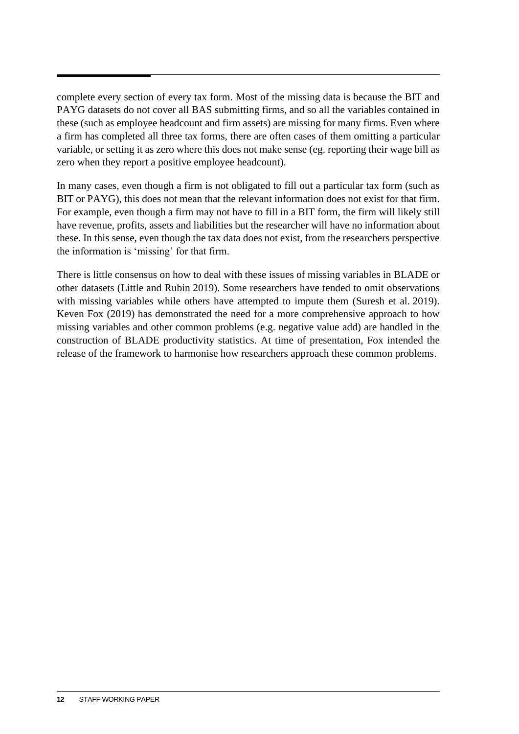complete every section of every tax form. Most of the missing data is because the BIT and PAYG datasets do not cover all BAS submitting firms, and so all the variables contained in these (such as employee headcount and firm assets) are missing for many firms. Even where a firm has completed all three tax forms, there are often cases of them omitting a particular variable, or setting it as zero where this does not make sense (eg. reporting their wage bill as zero when they report a positive employee headcount).

In many cases, even though a firm is not obligated to fill out a particular tax form (such as BIT or PAYG), this does not mean that the relevant information does not exist for that firm. For example, even though a firm may not have to fill in a BIT form, the firm will likely still have revenue, profits, assets and liabilities but the researcher will have no information about these. In this sense, even though the tax data does not exist, from the researchers perspective the information is 'missing' for that firm.

There is little consensus on how to deal with these issues of missing variables in BLADE or other datasets (Little and Rubin 2019). Some researchers have tended to omit observations with missing variables while others have attempted to impute them (Suresh et al. 2019). Keven Fox (2019) has demonstrated the need for a more comprehensive approach to how missing variables and other common problems (e.g. negative value add) are handled in the construction of BLADE productivity statistics. At time of presentation, Fox intended the release of the framework to harmonise how researchers approach these common problems.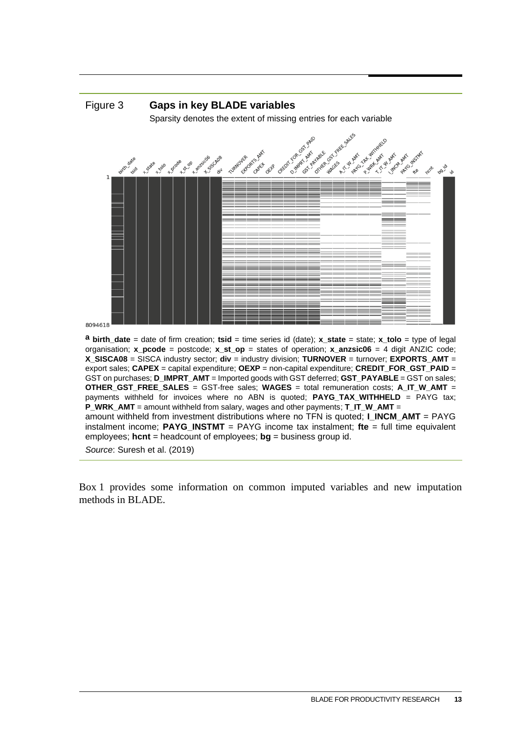

*Source*: Suresh et al. (2019)

Box 1 provides some information on common imputed variables and new imputation methods in BLADE.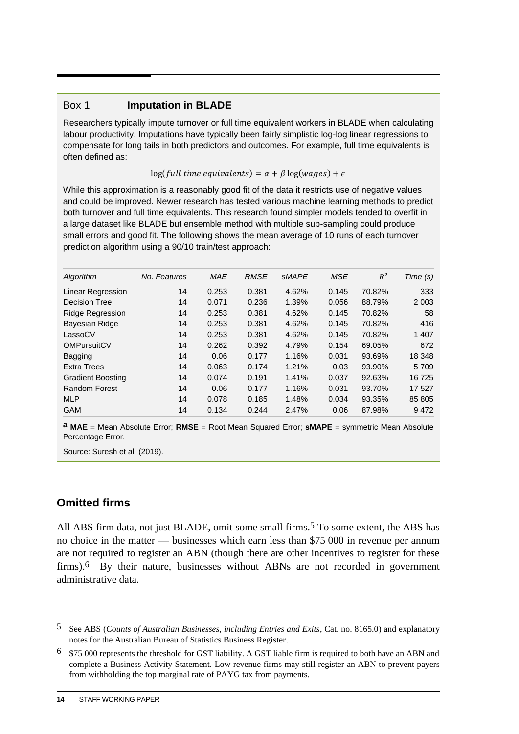### Box 1 **Imputation in BLADE**

Researchers typically impute turnover or full time equivalent workers in BLADE when calculating labour productivity. Imputations have typically been fairly simplistic log-log linear regressions to compensate for long tails in both predictors and outcomes. For example, full time equivalents is often defined as:

 $log(full$  time equivalents) =  $\alpha + \beta log(wages) + \epsilon$ 

While this approximation is a reasonably good fit of the data it restricts use of negative values and could be improved. Newer research has tested various machine learning methods to predict both turnover and full time equivalents. This research found simpler models tended to overfit in a large dataset like BLADE but ensemble method with multiple sub-sampling could produce small errors and good fit. The following shows the mean average of 10 runs of each turnover prediction algorithm using a 90/10 train/test approach:

| Algorithm                | No. Features | <b>MAE</b> | <b>RMSE</b> | <b>SMAPE</b> | <b>MSE</b> | $R^2$  | Time (s) |
|--------------------------|--------------|------------|-------------|--------------|------------|--------|----------|
| Linear Regression        | 14           | 0.253      | 0.381       | 4.62%        | 0.145      | 70.82% | 333      |
| <b>Decision Tree</b>     | 14           | 0.071      | 0.236       | 1.39%        | 0.056      | 88.79% | 2 0 0 3  |
| <b>Ridge Regression</b>  | 14           | 0.253      | 0.381       | 4.62%        | 0.145      | 70.82% | 58       |
| <b>Bayesian Ridge</b>    | 14           | 0.253      | 0.381       | 4.62%        | 0.145      | 70.82% | 416      |
| LassoCV                  | 14           | 0.253      | 0.381       | 4.62%        | 0.145      | 70.82% | 1 407    |
| <b>OMPursuitCV</b>       | 14           | 0.262      | 0.392       | 4.79%        | 0.154      | 69.05% | 672      |
| <b>Bagging</b>           | 14           | 0.06       | 0.177       | 1.16%        | 0.031      | 93.69% | 18 348   |
| <b>Extra Trees</b>       | 14           | 0.063      | 0.174       | 1.21%        | 0.03       | 93.90% | 5 709    |
| <b>Gradient Boosting</b> | 14           | 0.074      | 0.191       | 1.41%        | 0.037      | 92.63% | 16 725   |
| <b>Random Forest</b>     | 14           | 0.06       | 0.177       | 1.16%        | 0.031      | 93.70% | 17 527   |
| <b>MLP</b>               | 14           | 0.078      | 0.185       | 1.48%        | 0.034      | 93.35% | 85 805   |
| <b>GAM</b>               | 14           | 0.134      | 0.244       | 2.47%        | 0.06       | 87.98% | 9472     |

**a MAE** = Mean Absolute Error; **RMSE** = Root Mean Squared Error; **sMAPE** = symmetric Mean Absolute Percentage Error.

Source: Suresh et al. (2019).

### **Omitted firms**

All ABS firm data, not just BLADE, omit some small firms.<sup>5</sup> To some extent, the ABS has no choice in the matter — businesses which earn less than \$75 000 in revenue per annum are not required to register an ABN (though there are other incentives to register for these firms).6 By their nature, businesses without ABNs are not recorded in government administrative data.

<sup>5</sup> See ABS (*Counts of Australian Businesses, including Entries and Exits*, Cat. no. 8165.0) and explanatory notes for the Australian Bureau of Statistics Business Register.

<sup>6</sup> \$75 000 represents the threshold for GST liability. A GST liable firm is required to both have an ABN and complete a Business Activity Statement. Low revenue firms may still register an ABN to prevent payers from withholding the top marginal rate of PAYG tax from payments.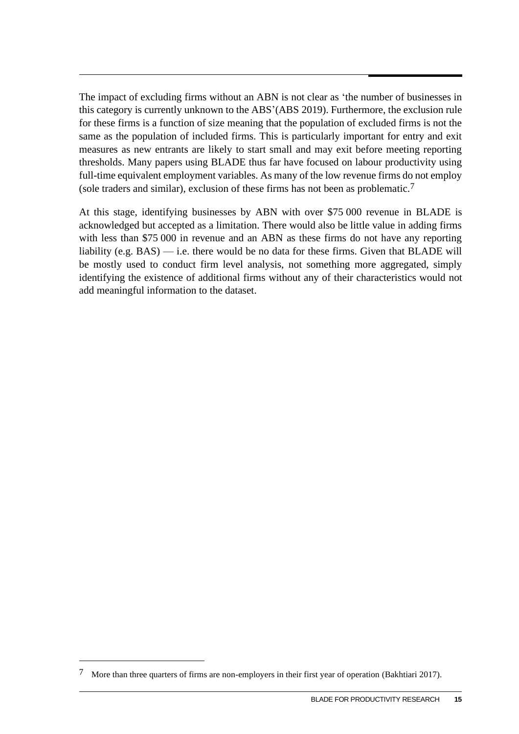The impact of excluding firms without an ABN is not clear as 'the number of businesses in this category is currently unknown to the ABS'(ABS 2019). Furthermore, the exclusion rule for these firms is a function of size meaning that the population of excluded firms is not the same as the population of included firms. This is particularly important for entry and exit measures as new entrants are likely to start small and may exit before meeting reporting thresholds. Many papers using BLADE thus far have focused on labour productivity using full-time equivalent employment variables. As many of the low revenue firms do not employ (sole traders and similar), exclusion of these firms has not been as problematic.7

At this stage, identifying businesses by ABN with over \$75 000 revenue in BLADE is acknowledged but accepted as a limitation. There would also be little value in adding firms with less than \$75 000 in revenue and an ABN as these firms do not have any reporting liability (e.g.  $BAS$ ) — i.e. there would be no data for these firms. Given that BLADE will be mostly used to conduct firm level analysis, not something more aggregated, simply identifying the existence of additional firms without any of their characteristics would not add meaningful information to the dataset.

<sup>7</sup> More than three quarters of firms are non-employers in their first year of operation (Bakhtiari 2017).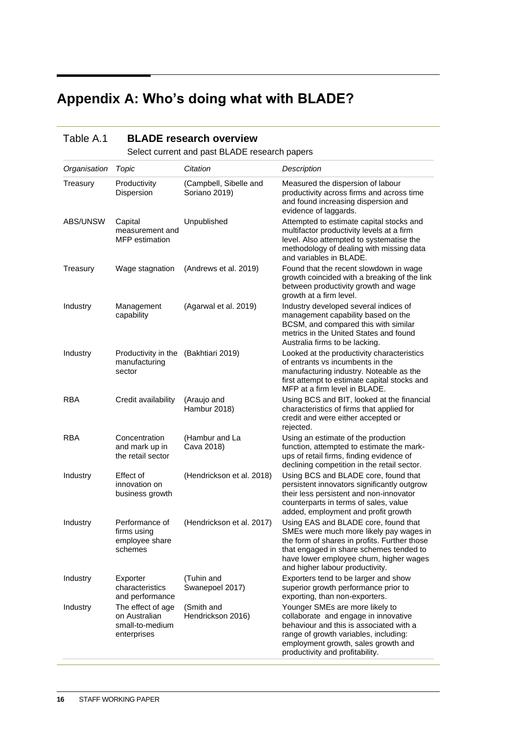## <span id="page-19-0"></span>**Appendix A: Who's doing what with BLADE?**

| Table A.1    |                                                                      | <b>BLADE research overview</b>                |                                                                                                                                                                                                                                                          |
|--------------|----------------------------------------------------------------------|-----------------------------------------------|----------------------------------------------------------------------------------------------------------------------------------------------------------------------------------------------------------------------------------------------------------|
|              |                                                                      | Select current and past BLADE research papers |                                                                                                                                                                                                                                                          |
| Organisation | Topic                                                                | Citation                                      | <b>Description</b>                                                                                                                                                                                                                                       |
| Treasury     | Productivity<br>Dispersion                                           | (Campbell, Sibelle and<br>Soriano 2019)       | Measured the dispersion of labour<br>productivity across firms and across time<br>and found increasing dispersion and<br>evidence of laggards.                                                                                                           |
| ABS/UNSW     | Capital<br>measurement and<br><b>MFP</b> estimation                  | Unpublished                                   | Attempted to estimate capital stocks and<br>multifactor productivity levels at a firm<br>level. Also attempted to systematise the<br>methodology of dealing with missing data<br>and variables in BLADE.                                                 |
| Treasury     | Wage stagnation                                                      | (Andrews et al. 2019)                         | Found that the recent slowdown in wage<br>growth coincided with a breaking of the link<br>between productivity growth and wage<br>growth at a firm level.                                                                                                |
| Industry     | Management<br>capability                                             | (Agarwal et al. 2019)                         | Industry developed several indices of<br>management capability based on the<br>BCSM, and compared this with similar<br>metrics in the United States and found<br>Australia firms to be lacking.                                                          |
| Industry     | Productivity in the (Bakhtiari 2019)<br>manufacturing<br>sector      |                                               | Looked at the productivity characteristics<br>of entrants vs incumbents in the<br>manufacturing industry. Noteable as the<br>first attempt to estimate capital stocks and<br>MFP at a firm level in BLADE.                                               |
| RBA          | Credit availability                                                  | (Araujo and<br>Hambur 2018)                   | Using BCS and BIT, looked at the financial<br>characteristics of firms that applied for<br>credit and were either accepted or<br>rejected.                                                                                                               |
| <b>RBA</b>   | Concentration<br>and mark up in<br>the retail sector                 | (Hambur and La<br>Cava 2018)                  | Using an estimate of the production<br>function, attempted to estimate the mark-<br>ups of retail firms, finding evidence of<br>declining competition in the retail sector.                                                                              |
| Industry     | Effect of<br>innovation on<br>business growth                        | (Hendrickson et al. 2018)                     | Using BCS and BLADE core, found that<br>persistent innovators significantly outgrow<br>their less persistent and non-innovator<br>counterparts in terms of sales, value<br>added, employment and profit growth                                           |
| Industry     | firms using<br>employee share<br>schemes                             | Performance of (Hendrickson et al. 2017)      | Using EAS and BLADE core, found that<br>SMEs were much more likely pay wages in<br>the form of shares in profits. Further those<br>that engaged in share schemes tended to<br>have lower employee churn, higher wages<br>and higher labour productivity. |
| Industry     | Exporter<br>characteristics<br>and performance                       | (Tuhin and<br>Swanepoel 2017)                 | Exporters tend to be larger and show<br>superior growth performance prior to<br>exporting, than non-exporters.                                                                                                                                           |
| Industry     | The effect of age<br>on Australian<br>small-to-medium<br>enterprises | (Smith and<br>Hendrickson 2016)               | Younger SMEs are more likely to<br>collaborate and engage in innovative<br>behaviour and this is associated with a<br>range of growth variables, including:<br>employment growth, sales growth and<br>productivity and profitability.                    |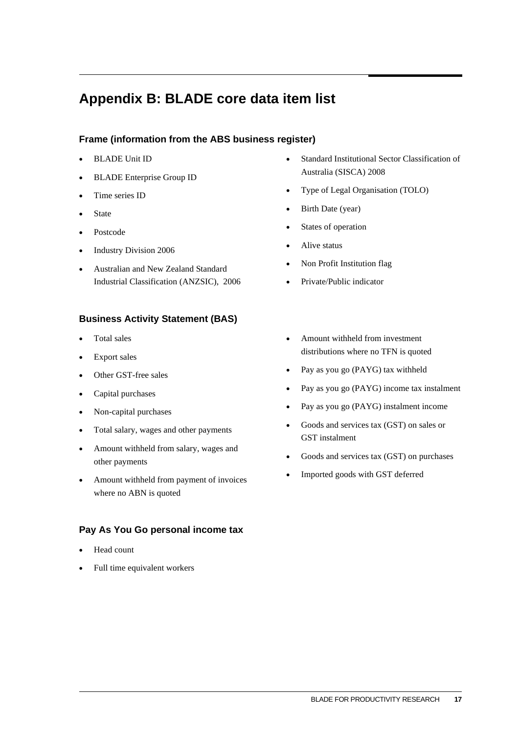### <span id="page-20-0"></span>**Appendix B: BLADE core data item list**

### **Frame (information from the ABS business register)**

- BLADE Unit ID
- BLADE Enterprise Group ID
- Time series ID
- State
- Postcode
- Industry Division 2006
- Australian and New Zealand Standard Industrial Classification (ANZSIC), 2006

### **Business Activity Statement (BAS)**

- Total sales
- Export sales
- Other GST-free sales
- Capital purchases
- Non-capital purchases
- Total salary, wages and other payments
- Amount withheld from salary, wages and other payments
- Amount withheld from payment of invoices where no ABN is quoted

### **Pay As You Go personal income tax**

- Head count
- Full time equivalent workers
- Standard Institutional Sector Classification of Australia (SISCA) 2008
- Type of Legal Organisation (TOLO)
- Birth Date (year)
- States of operation
- Alive status
- Non Profit Institution flag
- Private/Public indicator
- Amount withheld from investment distributions where no TFN is quoted
- Pay as you go (PAYG) tax withheld
- Pay as you go (PAYG) income tax instalment
- Pay as you go (PAYG) instalment income
- Goods and services tax (GST) on sales or GST instalment
- Goods and services tax (GST) on purchases
- Imported goods with GST deferred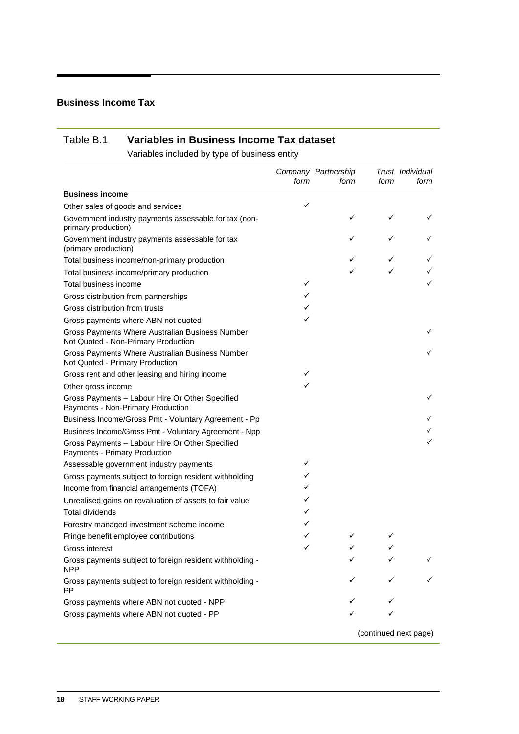### **Business Income Tax**

### Table B.1 **Variables in Business Income Tax dataset**

Variables included by type of business entity

|                                                                                        | form | Company Partnership<br>form | form | Trust Individual<br>form |
|----------------------------------------------------------------------------------------|------|-----------------------------|------|--------------------------|
| <b>Business income</b>                                                                 |      |                             |      |                          |
| Other sales of goods and services                                                      | ✓    |                             |      |                          |
| Government industry payments assessable for tax (non-<br>primary production)           |      | ✓                           | ✓    | ✓                        |
| Government industry payments assessable for tax<br>(primary production)                |      | ✓                           | ✓    | ✓                        |
| Total business income/non-primary production                                           |      | ✓                           | ✓    | ✓                        |
| Total business income/primary production                                               |      |                             |      |                          |
| Total business income                                                                  | ✓    |                             |      | ✓                        |
| Gross distribution from partnerships                                                   | ✓    |                             |      |                          |
| Gross distribution from trusts                                                         | ✓    |                             |      |                          |
| Gross payments where ABN not quoted                                                    | ✓    |                             |      |                          |
| Gross Payments Where Australian Business Number<br>Not Quoted - Non-Primary Production |      |                             |      | ✓                        |
| Gross Payments Where Australian Business Number<br>Not Quoted - Primary Production     |      |                             |      | ✓                        |
| Gross rent and other leasing and hiring income                                         | ✓    |                             |      |                          |
| Other gross income                                                                     |      |                             |      |                          |
| Gross Payments - Labour Hire Or Other Specified<br>Payments - Non-Primary Production   |      |                             |      | ✓                        |
| Business Income/Gross Pmt - Voluntary Agreement - Pp                                   |      |                             |      |                          |
| Business Income/Gross Pmt - Voluntary Agreement - Npp                                  |      |                             |      |                          |
| Gross Payments - Labour Hire Or Other Specified<br>Payments - Primary Production       |      |                             |      | ✓                        |
| Assessable government industry payments                                                | ✓    |                             |      |                          |
| Gross payments subject to foreign resident withholding                                 | ✓    |                             |      |                          |
| Income from financial arrangements (TOFA)                                              | ✓    |                             |      |                          |
| Unrealised gains on revaluation of assets to fair value                                | ✓    |                             |      |                          |
| <b>Total dividends</b>                                                                 | ✓    |                             |      |                          |
| Forestry managed investment scheme income                                              | ✓    |                             |      |                          |
| Fringe benefit employee contributions                                                  | ✓    |                             | ✓    |                          |
| Gross interest                                                                         | ✓    | ✓                           | ✓    |                          |
| Gross payments subject to foreign resident withholding -<br><b>NPP</b>                 |      |                             |      |                          |
| Gross payments subject to foreign resident withholding -<br>PP.                        |      |                             |      | ✓                        |
| Gross payments where ABN not quoted - NPP                                              |      |                             |      |                          |
| Gross payments where ABN not quoted - PP                                               |      |                             |      |                          |
|                                                                                        |      |                             |      | (continued next page)    |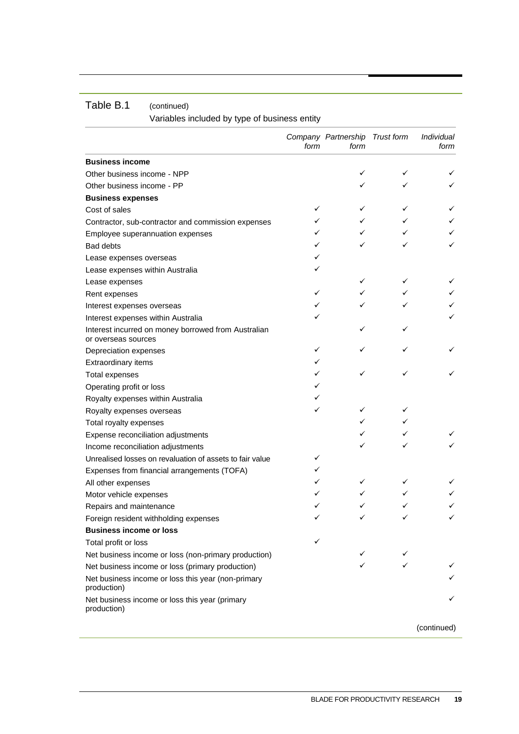Variables included by type of business entity

|                                                                            | form | Company Partnership<br>form | <b>Trust form</b> | Individual<br>form |
|----------------------------------------------------------------------------|------|-----------------------------|-------------------|--------------------|
| <b>Business income</b>                                                     |      |                             |                   |                    |
| Other business income - NPP                                                |      | ✓                           | ✓                 |                    |
| Other business income - PP                                                 |      |                             | ✓                 |                    |
| <b>Business expenses</b>                                                   |      |                             |                   |                    |
| Cost of sales                                                              | ✓    | ✓                           | ✓                 | ✓                  |
| Contractor, sub-contractor and commission expenses                         | ✓    | ✓                           | ✓                 |                    |
| Employee superannuation expenses                                           |      |                             | ✓                 |                    |
| <b>Bad debts</b>                                                           | ✓    |                             | ✓                 |                    |
| Lease expenses overseas                                                    | ✓    |                             |                   |                    |
| Lease expenses within Australia                                            |      |                             |                   |                    |
| Lease expenses                                                             |      | ✓                           | ✓                 |                    |
| Rent expenses                                                              | ✓    | ✓                           | ✓                 |                    |
| Interest expenses overseas                                                 | ✓    |                             |                   |                    |
| Interest expenses within Australia                                         |      |                             |                   |                    |
| Interest incurred on money borrowed from Australian<br>or overseas sources |      |                             |                   |                    |
| Depreciation expenses                                                      | ✓    |                             | ✓                 |                    |
| Extraordinary items                                                        | ✓    |                             |                   |                    |
| <b>Total expenses</b>                                                      |      | ✓                           | ✓                 |                    |
| Operating profit or loss                                                   |      |                             |                   |                    |
| Royalty expenses within Australia                                          |      |                             |                   |                    |
| Royalty expenses overseas                                                  | ✓    |                             | ✓                 |                    |
| Total royalty expenses                                                     |      |                             | ✓                 |                    |
| Expense reconciliation adjustments                                         |      |                             | ✓                 |                    |
| Income reconciliation adjustments                                          |      |                             | ✓                 |                    |
| Unrealised losses on revaluation of assets to fair value                   | ✓    |                             |                   |                    |
| Expenses from financial arrangements (TOFA)                                | ✓    |                             |                   |                    |
| All other expenses                                                         |      | ✓                           | ✓                 |                    |
| Motor vehicle expenses                                                     |      |                             | ✓                 |                    |
| Repairs and maintenance                                                    |      |                             |                   |                    |
| Foreign resident withholding expenses                                      |      |                             |                   |                    |
| <b>Business income or loss</b>                                             |      |                             |                   |                    |
| Total profit or loss                                                       | ✓    |                             |                   |                    |
| Net business income or loss (non-primary production)                       |      | ✓                           |                   |                    |
| Net business income or loss (primary production)                           |      |                             |                   | ✓                  |
| Net business income or loss this year (non-primary<br>production)          |      |                             |                   |                    |
| Net business income or loss this year (primary<br>production)              |      |                             |                   |                    |
|                                                                            |      |                             |                   | (continued)        |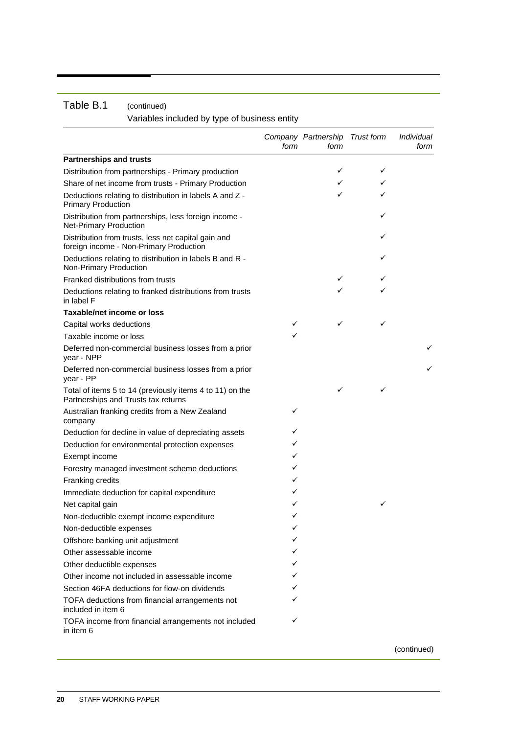Variables included by type of business entity

|                                                                                                 | form | Company Partnership Trust form<br>form |   | Individual<br>form |
|-------------------------------------------------------------------------------------------------|------|----------------------------------------|---|--------------------|
| <b>Partnerships and trusts</b>                                                                  |      |                                        |   |                    |
| Distribution from partnerships - Primary production                                             |      | ✓                                      | ✓ |                    |
| Share of net income from trusts - Primary Production                                            |      | ✓                                      | ✓ |                    |
| Deductions relating to distribution in labels A and Z -<br><b>Primary Production</b>            |      | ✓                                      | ✓ |                    |
| Distribution from partnerships, less foreign income -<br><b>Net-Primary Production</b>          |      |                                        | ✓ |                    |
| Distribution from trusts, less net capital gain and<br>foreign income - Non-Primary Production  |      |                                        | ✓ |                    |
| Deductions relating to distribution in labels B and R -<br>Non-Primary Production               |      |                                        | ✓ |                    |
| Franked distributions from trusts                                                               |      | ✓                                      | ✓ |                    |
| Deductions relating to franked distributions from trusts<br>in label F                          |      |                                        |   |                    |
| <b>Taxable/net income or loss</b>                                                               |      |                                        |   |                    |
| Capital works deductions                                                                        | ✓    | ✓                                      | ✓ |                    |
| Taxable income or loss                                                                          | ✓    |                                        |   |                    |
| Deferred non-commercial business losses from a prior<br>year - NPP                              |      |                                        |   |                    |
| Deferred non-commercial business losses from a prior<br>year - PP                               |      |                                        |   |                    |
| Total of items 5 to 14 (previously items 4 to 11) on the<br>Partnerships and Trusts tax returns |      | ✓                                      | ✓ |                    |
| Australian franking credits from a New Zealand<br>company                                       | ✓    |                                        |   |                    |
| Deduction for decline in value of depreciating assets                                           | ✓    |                                        |   |                    |
| Deduction for environmental protection expenses                                                 | ✓    |                                        |   |                    |
| Exempt income                                                                                   | ✓    |                                        |   |                    |
| Forestry managed investment scheme deductions                                                   | ✓    |                                        |   |                    |
| Franking credits                                                                                | ✓    |                                        |   |                    |
| Immediate deduction for capital expenditure                                                     | ✓    |                                        |   |                    |
| Net capital gain                                                                                | ✓    |                                        | ✓ |                    |
| Non-deductible exempt income expenditure                                                        | ✓    |                                        |   |                    |
| Non-deductible expenses                                                                         | ✓    |                                        |   |                    |
| Offshore banking unit adjustment                                                                |      |                                        |   |                    |
| Other assessable income                                                                         | ✓    |                                        |   |                    |
| Other deductible expenses                                                                       | ✓    |                                        |   |                    |
| Other income not included in assessable income                                                  | ✓    |                                        |   |                    |
| Section 46FA deductions for flow-on dividends                                                   |      |                                        |   |                    |
| TOFA deductions from financial arrangements not<br>included in item 6                           | ✓    |                                        |   |                    |
| TOFA income from financial arrangements not included<br>in item 6                               | ✓    |                                        |   |                    |

(continued)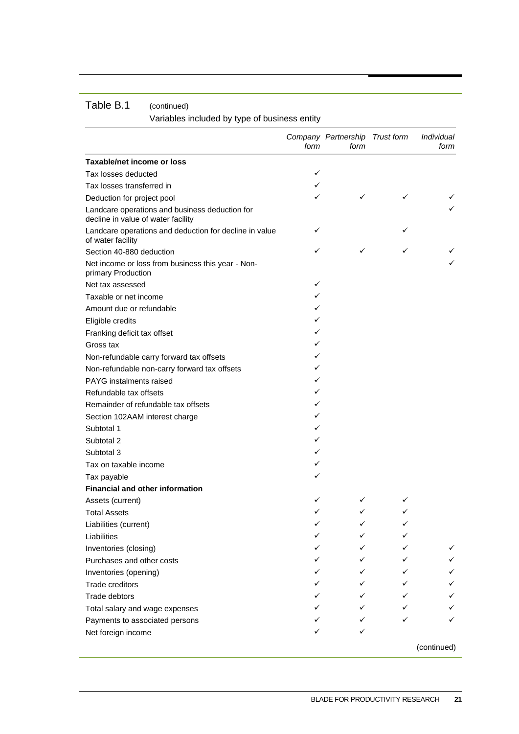Variables included by type of business entity

|                                                                                      | form | Company Partnership Trust form<br>form |   | Individual<br>form |
|--------------------------------------------------------------------------------------|------|----------------------------------------|---|--------------------|
| Taxable/net income or loss                                                           |      |                                        |   |                    |
| Tax losses deducted                                                                  | ✓    |                                        |   |                    |
| Tax losses transferred in                                                            | ✓    |                                        |   |                    |
| Deduction for project pool                                                           | ✓    | ✓                                      | ✓ |                    |
| Landcare operations and business deduction for<br>decline in value of water facility |      |                                        |   | ✓                  |
| Landcare operations and deduction for decline in value<br>of water facility          | ✓    |                                        | ✓ |                    |
| Section 40-880 deduction                                                             | ✓    | ✓                                      | ✓ | ✓                  |
| Net income or loss from business this year - Non-<br>primary Production              |      |                                        |   |                    |
| Net tax assessed                                                                     | ✓    |                                        |   |                    |
| Taxable or net income                                                                | ✓    |                                        |   |                    |
| Amount due or refundable                                                             | ✓    |                                        |   |                    |
| Eligible credits                                                                     | ✓    |                                        |   |                    |
| Franking deficit tax offset                                                          | ✓    |                                        |   |                    |
| Gross tax                                                                            | ✓    |                                        |   |                    |
| Non-refundable carry forward tax offsets                                             | ✓    |                                        |   |                    |
| Non-refundable non-carry forward tax offsets                                         | ✓    |                                        |   |                    |
| PAYG instalments raised                                                              | ✓    |                                        |   |                    |
| Refundable tax offsets                                                               | ✓    |                                        |   |                    |
| Remainder of refundable tax offsets                                                  | ✓    |                                        |   |                    |
| Section 102AAM interest charge                                                       | ✓    |                                        |   |                    |
| Subtotal 1                                                                           | ✓    |                                        |   |                    |
| Subtotal 2                                                                           | ✓    |                                        |   |                    |
| Subtotal 3                                                                           | ✓    |                                        |   |                    |
| Tax on taxable income                                                                | ✓    |                                        |   |                    |
| Tax payable                                                                          | ✓    |                                        |   |                    |
| <b>Financial and other information</b>                                               |      |                                        |   |                    |
| Assets (current)                                                                     | ✓    |                                        |   |                    |
| <b>Total Assets</b>                                                                  | ✓    |                                        |   |                    |
| Liabilities (current)                                                                | ✓    |                                        |   |                    |
| Liabilities                                                                          | ✓    | ✓                                      |   |                    |
| Inventories (closing)                                                                |      |                                        |   | ✓                  |
| Purchases and other costs                                                            |      | ✓                                      |   |                    |
| Inventories (opening)                                                                |      |                                        |   |                    |
| Trade creditors                                                                      | ✓    |                                        |   | ✓                  |
| Trade debtors                                                                        | ✓    |                                        |   | ✓                  |
| Total salary and wage expenses                                                       | ✓    | ✓                                      |   |                    |
| Payments to associated persons                                                       | ✓    |                                        |   | ✓                  |
| Net foreign income                                                                   |      | ✓                                      |   |                    |
|                                                                                      |      |                                        |   | (continued)        |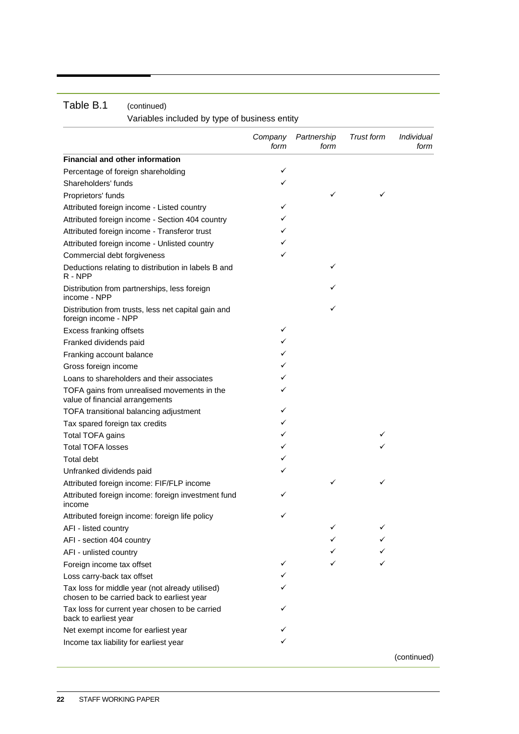|                                                                                               | Company<br>form | Partnership<br>form | <b>Trust form</b> | Individual<br>form |
|-----------------------------------------------------------------------------------------------|-----------------|---------------------|-------------------|--------------------|
| <b>Financial and other information</b>                                                        |                 |                     |                   |                    |
| Percentage of foreign shareholding                                                            | ✓               |                     |                   |                    |
| Shareholders' funds                                                                           | ✓               |                     |                   |                    |
| Proprietors' funds                                                                            |                 | ✓                   | ✓                 |                    |
| Attributed foreign income - Listed country                                                    | ✓               |                     |                   |                    |
| Attributed foreign income - Section 404 country                                               | ✓               |                     |                   |                    |
| Attributed foreign income - Transferor trust                                                  | ✓               |                     |                   |                    |
| Attributed foreign income - Unlisted country                                                  | ✓               |                     |                   |                    |
| Commercial debt forgiveness                                                                   | ✓               |                     |                   |                    |
| Deductions relating to distribution in labels B and<br>R - NPP                                |                 | ✓                   |                   |                    |
| Distribution from partnerships, less foreign<br>income - NPP                                  |                 |                     |                   |                    |
| Distribution from trusts, less net capital gain and<br>foreign income - NPP                   |                 | ✓                   |                   |                    |
| Excess franking offsets                                                                       | ✓               |                     |                   |                    |
| Franked dividends paid                                                                        | ✓               |                     |                   |                    |
| Franking account balance                                                                      | ✓               |                     |                   |                    |
| Gross foreign income                                                                          | ✓               |                     |                   |                    |
| Loans to shareholders and their associates                                                    | ✓               |                     |                   |                    |
| TOFA gains from unrealised movements in the<br>value of financial arrangements                | ✓               |                     |                   |                    |
| TOFA transitional balancing adjustment                                                        | ✓               |                     |                   |                    |
| Tax spared foreign tax credits                                                                | ✓               |                     |                   |                    |
| Total TOFA gains                                                                              | ✓               |                     | ✓                 |                    |
| <b>Total TOFA losses</b>                                                                      | ✓               |                     |                   |                    |
| <b>Total debt</b>                                                                             | ✓               |                     |                   |                    |
| Unfranked dividends paid                                                                      | ✓               |                     |                   |                    |
| Attributed foreign income: FIF/FLP income                                                     |                 | ✓                   | ✓                 |                    |
| Attributed foreign income: foreign investment fund<br>income                                  | ✓               |                     |                   |                    |
| Attributed foreign income: foreign life policy                                                | ✓               |                     |                   |                    |
| AFI - listed country                                                                          |                 | ✓                   | ✓                 |                    |
| AFI - section 404 country                                                                     |                 | ✓                   |                   |                    |
| AFI - unlisted country                                                                        |                 |                     |                   |                    |
| Foreign income tax offset                                                                     | ✓               |                     |                   |                    |
| Loss carry-back tax offset                                                                    | ✓               |                     |                   |                    |
| Tax loss for middle year (not already utilised)<br>chosen to be carried back to earliest year | ✓               |                     |                   |                    |
| Tax loss for current year chosen to be carried<br>back to earliest year                       | ✓               |                     |                   |                    |
| Net exempt income for earliest year                                                           | ✓               |                     |                   |                    |
| Income tax liability for earliest year                                                        | ✓               |                     |                   |                    |
|                                                                                               |                 |                     |                   | (continued)        |

### Table B.1 (continued) Variables included by type of business entity

**22** STAFF WORKING PAPER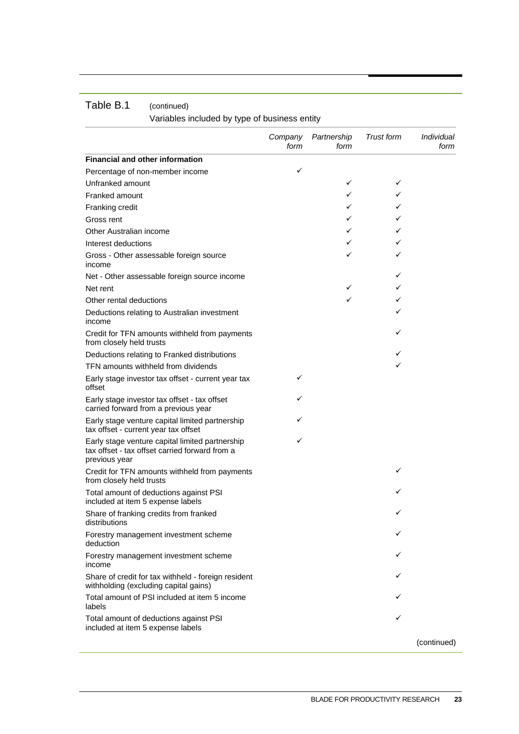Variables included by type of business entity

|                                                                                                                    | Company<br>form | Partnership<br>form | Trust form | <i>Individual</i><br>form |
|--------------------------------------------------------------------------------------------------------------------|-----------------|---------------------|------------|---------------------------|
| <b>Financial and other information</b>                                                                             |                 |                     |            |                           |
| Percentage of non-member income                                                                                    | ✓               |                     |            |                           |
| Unfranked amount                                                                                                   |                 | ✓                   | ✓          |                           |
| Franked amount                                                                                                     |                 | ✓                   | ✓          |                           |
| Franking credit                                                                                                    |                 | ✓                   | ✓          |                           |
| Gross rent                                                                                                         |                 | ✓                   | ✓          |                           |
| Other Australian income                                                                                            |                 | ✓                   | ✓          |                           |
| Interest deductions                                                                                                |                 | ✓                   | ✓          |                           |
| Gross - Other assessable foreign source<br>income                                                                  |                 | ✓                   | ✓          |                           |
| Net - Other assessable foreign source income                                                                       |                 |                     | ✓          |                           |
| Net rent                                                                                                           |                 | ✓                   | ✓          |                           |
| Other rental deductions                                                                                            |                 | ✓                   | ✓          |                           |
| Deductions relating to Australian investment<br>income                                                             |                 |                     | ✓          |                           |
| Credit for TFN amounts withheld from payments<br>from closely held trusts                                          |                 |                     | ✓          |                           |
| Deductions relating to Franked distributions                                                                       |                 |                     | ✓          |                           |
| TFN amounts withheld from dividends                                                                                |                 |                     | ✓          |                           |
| Early stage investor tax offset - current year tax<br>offset                                                       | ✓               |                     |            |                           |
| Early stage investor tax offset - tax offset<br>carried forward from a previous year                               | ✓               |                     |            |                           |
| Early stage venture capital limited partnership<br>tax offset - current year tax offset                            | ✓               |                     |            |                           |
| Early stage venture capital limited partnership<br>tax offset - tax offset carried forward from a<br>previous year | ✓               |                     |            |                           |
| Credit for TFN amounts withheld from payments<br>from closely held trusts                                          |                 |                     | ✓          |                           |
| Total amount of deductions against PSI<br>included at item 5 expense labels                                        |                 |                     |            |                           |
| Share of franking credits from franked<br>distributions                                                            |                 |                     | ✓          |                           |
| Forestry management investment scheme<br>deduction                                                                 |                 |                     |            |                           |
| Forestry management investment scheme<br>income                                                                    |                 |                     |            |                           |
| Share of credit for tax withheld - foreign resident<br>withholding (excluding capital gains)                       |                 |                     |            |                           |
| Total amount of PSI included at item 5 income<br>labels                                                            |                 |                     |            |                           |
| Total amount of deductions against PSI<br>included at item 5 expense labels                                        |                 |                     |            |                           |
|                                                                                                                    |                 |                     |            | (continued)               |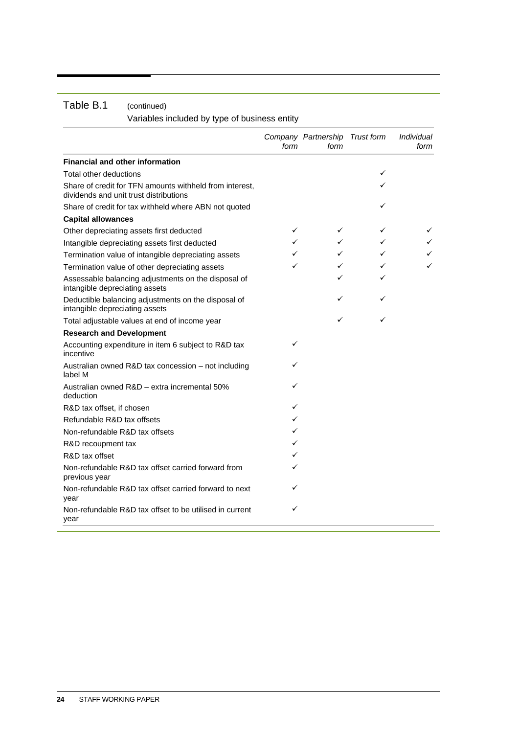Variables included by type of business entity

|                                                                                                   | form | Company Partnership Trust form<br>form |   | Individual<br>form |
|---------------------------------------------------------------------------------------------------|------|----------------------------------------|---|--------------------|
| <b>Financial and other information</b>                                                            |      |                                        |   |                    |
| Total other deductions                                                                            |      |                                        | ✓ |                    |
| Share of credit for TFN amounts withheld from interest,<br>dividends and unit trust distributions |      |                                        | ✓ |                    |
| Share of credit for tax withheld where ABN not quoted                                             |      |                                        | ✓ |                    |
| <b>Capital allowances</b>                                                                         |      |                                        |   |                    |
| Other depreciating assets first deducted                                                          | ✓    | ✓                                      | ✓ | ✓                  |
| Intangible depreciating assets first deducted                                                     | ✓    | ✓                                      | ✓ |                    |
| Termination value of intangible depreciating assets                                               | ✓    | ✓                                      | ✓ |                    |
| Termination value of other depreciating assets                                                    | ✓    | ✓                                      | ✓ | ✓                  |
| Assessable balancing adjustments on the disposal of<br>intangible depreciating assets             |      | ✓                                      | ✓ |                    |
| Deductible balancing adjustments on the disposal of<br>intangible depreciating assets             |      | ✓                                      | ✓ |                    |
| Total adjustable values at end of income year                                                     |      | ✓                                      | ✓ |                    |
| <b>Research and Development</b>                                                                   |      |                                        |   |                    |
| Accounting expenditure in item 6 subject to R&D tax<br>incentive                                  | ✓    |                                        |   |                    |
| Australian owned R&D tax concession – not including<br>label M                                    | ✓    |                                        |   |                    |
| Australian owned R&D - extra incremental 50%<br>deduction                                         | ✓    |                                        |   |                    |
| R&D tax offset, if chosen                                                                         | ✓    |                                        |   |                    |
| Refundable R&D tax offsets                                                                        | ✓    |                                        |   |                    |
| Non-refundable R&D tax offsets                                                                    | ✓    |                                        |   |                    |
| R&D recoupment tax                                                                                | ✓    |                                        |   |                    |
| R&D tax offset                                                                                    | ✓    |                                        |   |                    |
| Non-refundable R&D tax offset carried forward from<br>previous year                               | ✓    |                                        |   |                    |
| Non-refundable R&D tax offset carried forward to next<br>year                                     | ✓    |                                        |   |                    |
| Non-refundable R&D tax offset to be utilised in current<br>year                                   | ✓    |                                        |   |                    |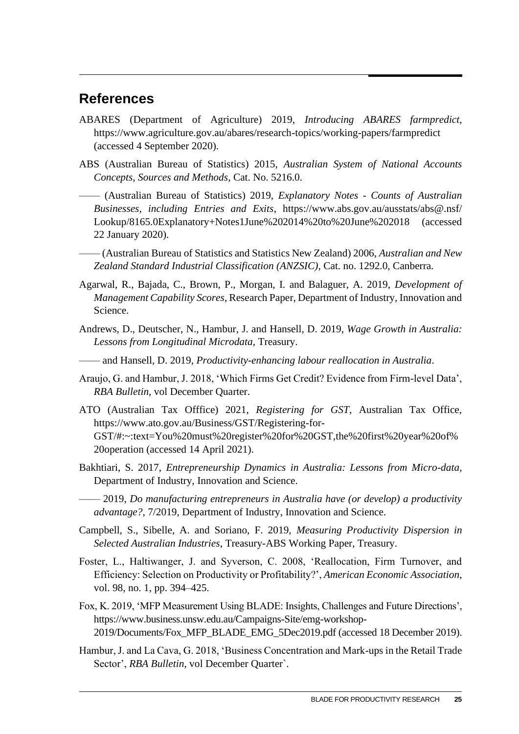### **References**

- ABARES (Department of Agriculture) 2019, *Introducing ABARES farmpredict*, https://www.agriculture.gov.au/abares/research-topics/working-papers/farmpredict (accessed 4 September 2020).
- ABS (Australian Bureau of Statistics) 2015, *Australian System of National Accounts Concepts, Sources and Methods*, Cat. No. 5216.0.

—— (Australian Bureau of Statistics) 2019, *Explanatory Notes - Counts of Australian Businesses, including Entries and Exits*, https://www.abs.gov.au/ausstats/abs@.nsf/ Lookup/8165.0Explanatory+Notes1June%202014%20to%20June%202018 (accessed 22 January 2020).

- —— (Australian Bureau of Statistics and Statistics New Zealand) 2006, *Australian and New Zealand Standard Industrial Classification (ANZSIC)*, Cat. no. 1292.0, Canberra.
- Agarwal, R., Bajada, C., Brown, P., Morgan, I. and Balaguer, A. 2019, *Development of Management Capability Scores*, Research Paper, Department of Industry, Innovation and Science.
- Andrews, D., Deutscher, N., Hambur, J. and Hansell, D. 2019, *Wage Growth in Australia: Lessons from Longitudinal Microdata*, Treasury.
- —— and Hansell, D. 2019, *Productivity-enhancing labour reallocation in Australia*.
- Araujo, G. and Hambur, J. 2018, 'Which Firms Get Credit? Evidence from Firm-level Data', *RBA Bulletin*, vol December Quarter.
- ATO (Australian Tax Offfice) 2021, *Registering for GST*, Australian Tax Office, https://www.ato.gov.au/Business/GST/Registering-for-GST/#:~:text=You%20must%20register%20for%20GST,the%20first%20year%20of% 20operation (accessed 14 April 2021).
- Bakhtiari, S. 2017, *Entrepreneurship Dynamics in Australia: Lessons from Micro-data*, Department of Industry, Innovation and Science.
	- —— 2019, *Do manufacturing entrepreneurs in Australia have (or develop) a productivity advantage?*, 7/2019, Department of Industry, Innovation and Science.
- Campbell, S., Sibelle, A. and Soriano, F. 2019, *Measuring Productivity Dispersion in Selected Australian Industries*, Treasury-ABS Working Paper, Treasury.
- Foster, L., Haltiwanger, J. and Syverson, C. 2008, 'Reallocation, Firm Turnover, and Efficiency: Selection on Productivity or Profitability?', *American Economic Association*, vol. 98, no. 1, pp. 394–425.
- Fox, K. 2019, 'MFP Measurement Using BLADE: Insights, Challenges and Future Directions', https://www.business.unsw.edu.au/Campaigns-Site/emg-workshop-2019/Documents/Fox\_MFP\_BLADE\_EMG\_5Dec2019.pdf (accessed 18 December 2019).
- Hambur, J. and La Cava, G. 2018, 'Business Concentration and Mark-ups in the Retail Trade Sector', *RBA Bulletin*, vol December Quarter`.